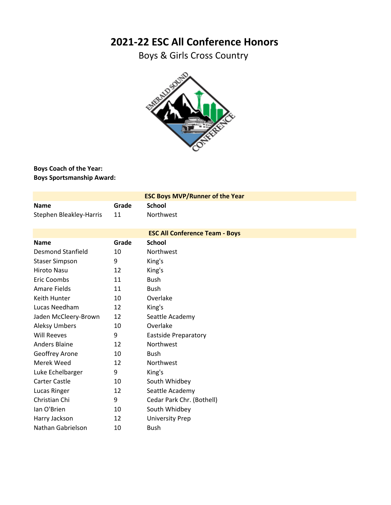## **2021-22 ESC All Conference Honors**

Boys & Girls Cross Country



## **Boys Coach of the Year: Boys Sportsmanship Award:**

| <b>ESC Boys MVP/Runner of the Year</b> |       |                             |  |
|----------------------------------------|-------|-----------------------------|--|
| <b>Name</b>                            | Grade | <b>School</b>               |  |
| Stephen Bleakley-Harris                | 11    | Northwest                   |  |
| <b>ESC All Conference Team - Boys</b>  |       |                             |  |
| <b>Name</b>                            | Grade | <b>School</b>               |  |
| <b>Desmond Stanfield</b>               | 10    | Northwest                   |  |
| <b>Staser Simpson</b>                  | 9     | King's                      |  |
| Hiroto Nasu                            | 12    | King's                      |  |
| Eric Coombs                            | 11    | <b>Bush</b>                 |  |
| <b>Amare Fields</b>                    | 11    | <b>Bush</b>                 |  |
| Keith Hunter                           | 10    | Overlake                    |  |
| Lucas Needham                          | 12    | King's                      |  |
| Jaden McCleery-Brown                   | 12    | Seattle Academy             |  |
| <b>Aleksy Umbers</b>                   | 10    | Overlake                    |  |
| <b>Will Reeves</b>                     | 9     | <b>Eastside Preparatory</b> |  |
| <b>Anders Blaine</b>                   | 12    | Northwest                   |  |
| <b>Geoffrey Arone</b>                  | 10    | <b>Bush</b>                 |  |
| Merek Weed                             | 12    | Northwest                   |  |
| Luke Echelbarger                       | 9     | King's                      |  |
| <b>Carter Castle</b>                   | 10    | South Whidbey               |  |
| Lucas Ringer                           | 12    | Seattle Academy             |  |
| Christian Chi                          | 9     | Cedar Park Chr. (Bothell)   |  |
| lan O'Brien                            | 10    | South Whidbey               |  |
| Harry Jackson                          | 12    | <b>University Prep</b>      |  |
| Nathan Gabrielson                      | 10    | <b>Bush</b>                 |  |